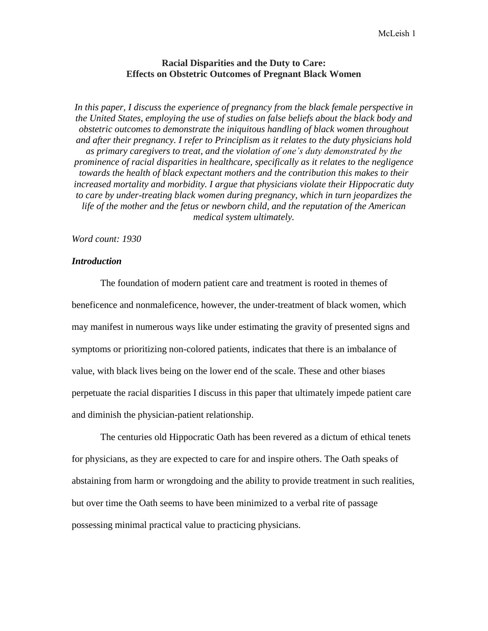## **Racial Disparities and the Duty to Care: Effects on Obstetric Outcomes of Pregnant Black Women**

In this paper, I discuss the experience of pregnancy from the black female perspective in *the United States, employing the use of studies on false beliefs about the black body and obstetric outcomes to demonstrate the iniquitous handling of black women throughout and after their pregnancy. I refer to Principlism as it relates to the duty physicians hold as primary caregivers to treat, and the violation of one's duty demonstrated by the prominence of racial disparities in healthcare, specifically as it relates to the negligence towards the health of black expectant mothers and the contribution this makes to their increased mortality and morbidity. I argue that physicians violate their Hippocratic duty to care by under-treating black women during pregnancy, which in turn jeopardizes the life of the mother and the fetus or newborn child, and the reputation of the American medical system ultimately.*

#### *Word count: 1930*

## *Introduction*

The foundation of modern patient care and treatment is rooted in themes of beneficence and nonmaleficence, however, the under-treatment of black women, which may manifest in numerous ways like under estimating the gravity of presented signs and symptoms or prioritizing non-colored patients, indicates that there is an imbalance of value, with black lives being on the lower end of the scale. These and other biases perpetuate the racial disparities I discuss in this paper that ultimately impede patient care and diminish the physician-patient relationship.

The centuries old Hippocratic Oath has been revered as a dictum of ethical tenets for physicians, as they are expected to care for and inspire others. The Oath speaks of abstaining from harm or wrongdoing and the ability to provide treatment in such realities, but over time the Oath seems to have been minimized to a verbal rite of passage possessing minimal practical value to practicing physicians.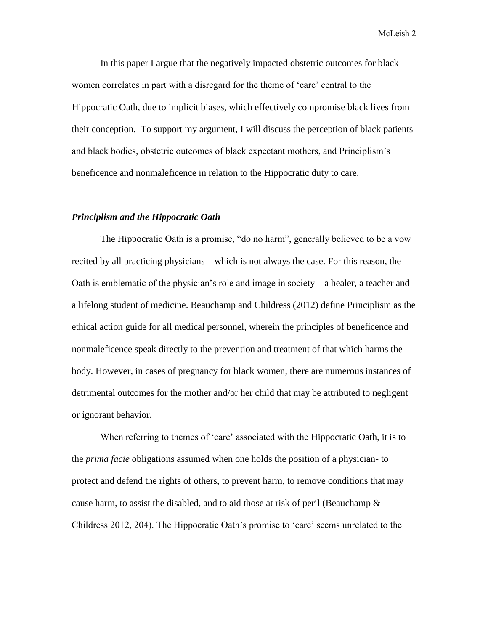In this paper I argue that the negatively impacted obstetric outcomes for black women correlates in part with a disregard for the theme of 'care' central to the Hippocratic Oath, due to implicit biases, which effectively compromise black lives from their conception. To support my argument, I will discuss the perception of black patients and black bodies, obstetric outcomes of black expectant mothers, and Principlism's beneficence and nonmaleficence in relation to the Hippocratic duty to care.

## *Principlism and the Hippocratic Oath*

The Hippocratic Oath is a promise, "do no harm", generally believed to be a vow recited by all practicing physicians – which is not always the case. For this reason, the Oath is emblematic of the physician's role and image in society – a healer, a teacher and a lifelong student of medicine. Beauchamp and Childress (2012) define Principlism as the ethical action guide for all medical personnel, wherein the principles of beneficence and nonmaleficence speak directly to the prevention and treatment of that which harms the body. However, in cases of pregnancy for black women, there are numerous instances of detrimental outcomes for the mother and/or her child that may be attributed to negligent or ignorant behavior.

When referring to themes of 'care' associated with the Hippocratic Oath, it is to the *prima facie* obligations assumed when one holds the position of a physician- to protect and defend the rights of others, to prevent harm, to remove conditions that may cause harm, to assist the disabled, and to aid those at risk of peril (Beauchamp  $\&$ Childress 2012, 204). The Hippocratic Oath's promise to 'care' seems unrelated to the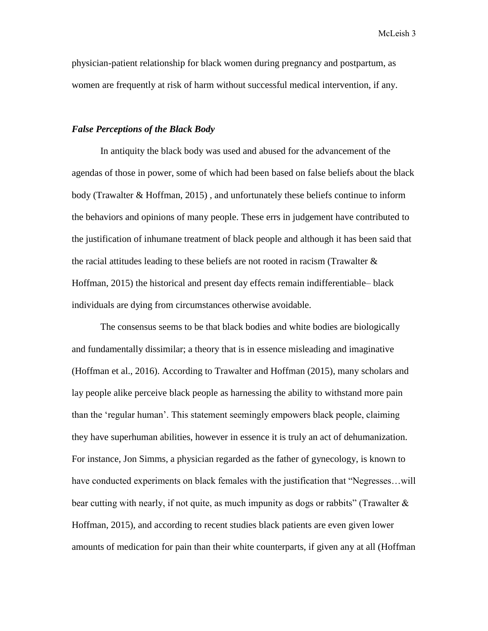physician-patient relationship for black women during pregnancy and postpartum, as women are frequently at risk of harm without successful medical intervention, if any.

#### *False Perceptions of the Black Body*

In antiquity the black body was used and abused for the advancement of the agendas of those in power, some of which had been based on false beliefs about the black body (Trawalter & Hoffman, 2015) , and unfortunately these beliefs continue to inform the behaviors and opinions of many people. These errs in judgement have contributed to the justification of inhumane treatment of black people and although it has been said that the racial attitudes leading to these beliefs are not rooted in racism (Trawalter  $\&$ Hoffman, 2015) the historical and present day effects remain indifferentiable– black individuals are dying from circumstances otherwise avoidable.

The consensus seems to be that black bodies and white bodies are biologically and fundamentally dissimilar; a theory that is in essence misleading and imaginative (Hoffman et al., 2016). According to Trawalter and Hoffman (2015), many scholars and lay people alike perceive black people as harnessing the ability to withstand more pain than the 'regular human'. This statement seemingly empowers black people, claiming they have superhuman abilities, however in essence it is truly an act of dehumanization. For instance, Jon Simms, a physician regarded as the father of gynecology, is known to have conducted experiments on black females with the justification that "Negresses…will bear cutting with nearly, if not quite, as much impunity as dogs or rabbits" (Trawalter  $\&$ Hoffman, 2015), and according to recent studies black patients are even given lower amounts of medication for pain than their white counterparts, if given any at all (Hoffman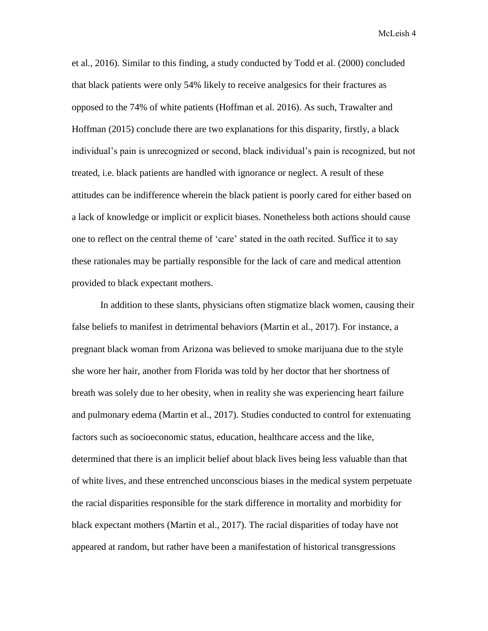et al., 2016). Similar to this finding, a study conducted by Todd et al. (2000) concluded that black patients were only 54% likely to receive analgesics for their fractures as opposed to the 74% of white patients (Hoffman et al. 2016). As such, Trawalter and Hoffman (2015) conclude there are two explanations for this disparity, firstly, a black individual's pain is unrecognized or second, black individual's pain is recognized, but not treated, i.e. black patients are handled with ignorance or neglect. A result of these attitudes can be indifference wherein the black patient is poorly cared for either based on a lack of knowledge or implicit or explicit biases. Nonetheless both actions should cause one to reflect on the central theme of 'care' stated in the oath recited. Suffice it to say these rationales may be partially responsible for the lack of care and medical attention provided to black expectant mothers.

In addition to these slants, physicians often stigmatize black women, causing their false beliefs to manifest in detrimental behaviors (Martin et al., 2017). For instance, a pregnant black woman from Arizona was believed to smoke marijuana due to the style she wore her hair, another from Florida was told by her doctor that her shortness of breath was solely due to her obesity, when in reality she was experiencing heart failure and pulmonary edema (Martin et al., 2017). Studies conducted to control for extenuating factors such as socioeconomic status, education, healthcare access and the like, determined that there is an implicit belief about black lives being less valuable than that of white lives, and these entrenched unconscious biases in the medical system perpetuate the racial disparities responsible for the stark difference in mortality and morbidity for black expectant mothers (Martin et al., 2017). The racial disparities of today have not appeared at random, but rather have been a manifestation of historical transgressions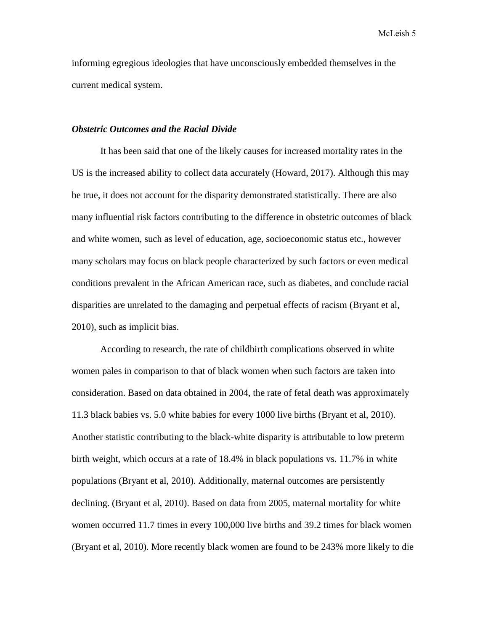informing egregious ideologies that have unconsciously embedded themselves in the current medical system.

## *Obstetric Outcomes and the Racial Divide*

It has been said that one of the likely causes for increased mortality rates in the US is the increased ability to collect data accurately (Howard, 2017). Although this may be true, it does not account for the disparity demonstrated statistically. There are also many influential risk factors contributing to the difference in obstetric outcomes of black and white women, such as level of education, age, socioeconomic status etc., however many scholars may focus on black people characterized by such factors or even medical conditions prevalent in the African American race, such as diabetes, and conclude racial disparities are unrelated to the damaging and perpetual effects of racism (Bryant et al, 2010), such as implicit bias.

According to research, the rate of childbirth complications observed in white women pales in comparison to that of black women when such factors are taken into consideration. Based on data obtained in 2004, the rate of fetal death was approximately 11.3 black babies vs. 5.0 white babies for every 1000 live births (Bryant et al, 2010). Another statistic contributing to the black-white disparity is attributable to low preterm birth weight, which occurs at a rate of 18.4% in black populations vs. 11.7% in white populations (Bryant et al, 2010). Additionally, maternal outcomes are persistently declining. (Bryant et al, 2010). Based on data from 2005, maternal mortality for white women occurred 11.7 times in every 100,000 live births and 39.2 times for black women (Bryant et al, 2010). More recently black women are found to be 243% more likely to die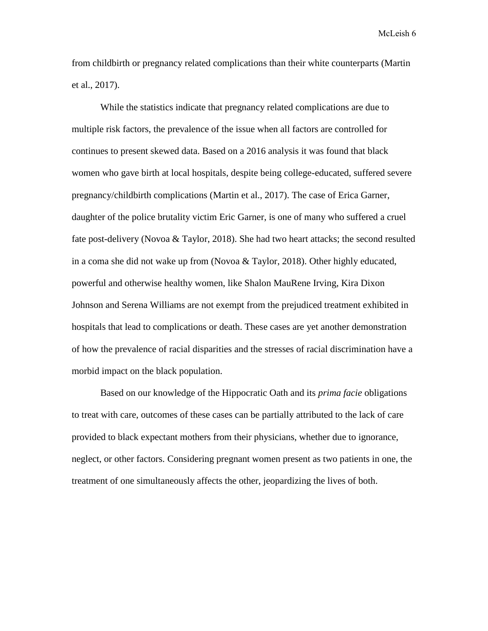from childbirth or pregnancy related complications than their white counterparts (Martin et al., 2017).

While the statistics indicate that pregnancy related complications are due to multiple risk factors, the prevalence of the issue when all factors are controlled for continues to present skewed data. Based on a 2016 analysis it was found that black women who gave birth at local hospitals, despite being college-educated, suffered severe pregnancy/childbirth complications (Martin et al., 2017). The case of Erica Garner, daughter of the police brutality victim Eric Garner, is one of many who suffered a cruel fate post-delivery (Novoa & Taylor, 2018). She had two heart attacks; the second resulted in a coma she did not wake up from (Novoa & Taylor, 2018). Other highly educated, powerful and otherwise healthy women, like Shalon MauRene Irving, Kira Dixon Johnson and Serena Williams are not exempt from the prejudiced treatment exhibited in hospitals that lead to complications or death. These cases are yet another demonstration of how the prevalence of racial disparities and the stresses of racial discrimination have a morbid impact on the black population.

Based on our knowledge of the Hippocratic Oath and its *prima facie* obligations to treat with care, outcomes of these cases can be partially attributed to the lack of care provided to black expectant mothers from their physicians, whether due to ignorance, neglect, or other factors. Considering pregnant women present as two patients in one, the treatment of one simultaneously affects the other, jeopardizing the lives of both.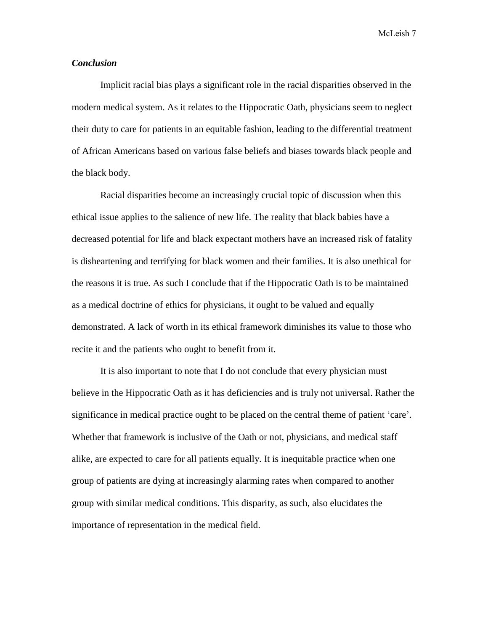## *Conclusion*

Implicit racial bias plays a significant role in the racial disparities observed in the modern medical system. As it relates to the Hippocratic Oath, physicians seem to neglect their duty to care for patients in an equitable fashion, leading to the differential treatment of African Americans based on various false beliefs and biases towards black people and the black body.

Racial disparities become an increasingly crucial topic of discussion when this ethical issue applies to the salience of new life. The reality that black babies have a decreased potential for life and black expectant mothers have an increased risk of fatality is disheartening and terrifying for black women and their families. It is also unethical for the reasons it is true. As such I conclude that if the Hippocratic Oath is to be maintained as a medical doctrine of ethics for physicians, it ought to be valued and equally demonstrated. A lack of worth in its ethical framework diminishes its value to those who recite it and the patients who ought to benefit from it.

It is also important to note that I do not conclude that every physician must believe in the Hippocratic Oath as it has deficiencies and is truly not universal. Rather the significance in medical practice ought to be placed on the central theme of patient 'care'. Whether that framework is inclusive of the Oath or not, physicians, and medical staff alike, are expected to care for all patients equally. It is inequitable practice when one group of patients are dying at increasingly alarming rates when compared to another group with similar medical conditions. This disparity, as such, also elucidates the importance of representation in the medical field.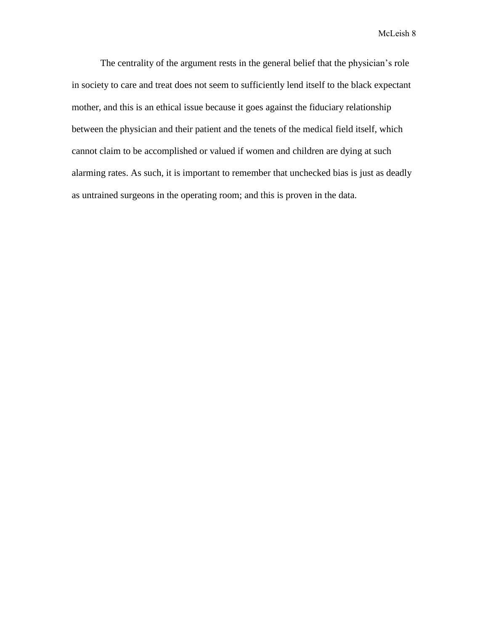The centrality of the argument rests in the general belief that the physician's role in society to care and treat does not seem to sufficiently lend itself to the black expectant mother, and this is an ethical issue because it goes against the fiduciary relationship between the physician and their patient and the tenets of the medical field itself, which cannot claim to be accomplished or valued if women and children are dying at such alarming rates. As such, it is important to remember that unchecked bias is just as deadly as untrained surgeons in the operating room; and this is proven in the data.